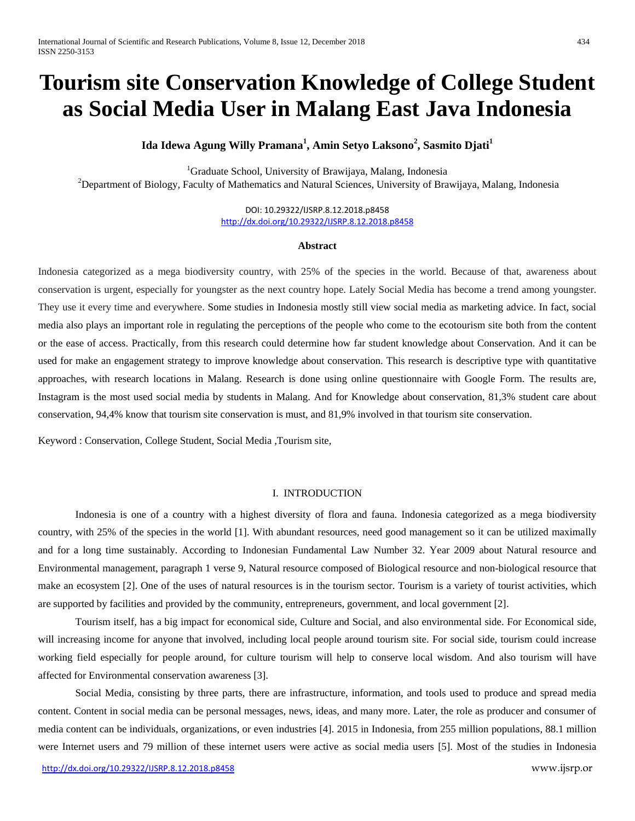# **Tourism site Conservation Knowledge of College Student as Social Media User in Malang East Java Indonesia**

**Ida Idewa Agung Willy Pramana<sup>1</sup> , Amin Setyo Laksono<sup>2</sup> , Sasmito Djati<sup>1</sup>**

<sup>1</sup>Graduate School, University of Brawijaya, Malang, Indonesia <sup>2</sup>Department of Biology, Faculty of Mathematics and Natural Sciences, University of Brawijaya, Malang, Indonesia

> DOI: 10.29322/IJSRP.8.12.2018.p8458 <http://dx.doi.org/10.29322/IJSRP.8.12.2018.p8458>

#### **Abstract**

Indonesia categorized as a mega biodiversity country, with 25% of the species in the world. Because of that, awareness about conservation is urgent, especially for youngster as the next country hope. Lately Social Media has become a trend among youngster. They use it every time and everywhere. Some studies in Indonesia mostly still view social media as marketing advice. In fact, social media also plays an important role in regulating the perceptions of the people who come to the ecotourism site both from the content or the ease of access. Practically, from this research could determine how far student knowledge about Conservation. And it can be used for make an engagement strategy to improve knowledge about conservation. This research is descriptive type with quantitative approaches, with research locations in Malang. Research is done using online questionnaire with Google Form. The results are, Instagram is the most used social media by students in Malang. And for Knowledge about conservation, 81,3% student care about conservation, 94,4% know that tourism site conservation is must, and 81,9% involved in that tourism site conservation.

Keyword : Conservation, College Student, Social Media ,Tourism site,

#### I. INTRODUCTION

Indonesia is one of a country with a highest diversity of flora and fauna. Indonesia categorized as a mega biodiversity country, with 25% of the species in the world [1]. With abundant resources, need good management so it can be utilized maximally and for a long time sustainably. According to Indonesian Fundamental Law Number 32. Year 2009 about Natural resource and Environmental management, paragraph 1 verse 9, Natural resource composed of Biological resource and non-biological resource that make an ecosystem [2]. One of the uses of natural resources is in the tourism sector. Tourism is a variety of tourist activities, which are supported by facilities and provided by the community, entrepreneurs, government, and local government [2].

Tourism itself, has a big impact for economical side, Culture and Social, and also environmental side. For Economical side, will increasing income for anyone that involved, including local people around tourism site. For social side, tourism could increase working field especially for people around, for culture tourism will help to conserve local wisdom. And also tourism will have affected for Environmental conservation awareness [3].

Social Media, consisting by three parts, there are infrastructure, information, and tools used to produce and spread media content. Content in social media can be personal messages, news, ideas, and many more. Later, the role as producer and consumer of media content can be individuals, organizations, or even industries [4]. 2015 in Indonesia, from 255 million populations, 88.1 million were Internet users and 79 million of these internet users were active as social media users [5]. Most of the studies in Indonesia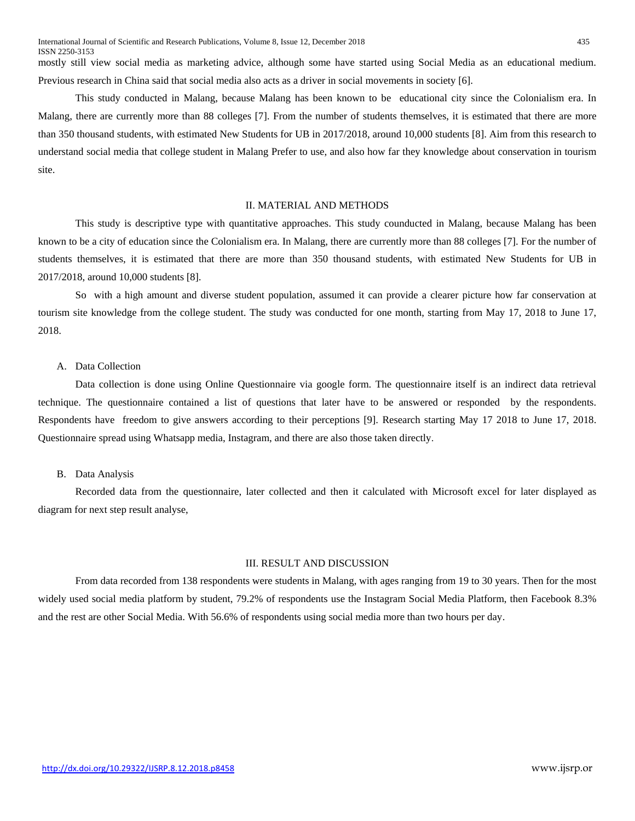This study conducted in Malang, because Malang has been known to be educational city since the Colonialism era. In Malang, there are currently more than 88 colleges [7]. From the number of students themselves, it is estimated that there are more than 350 thousand students, with estimated New Students for UB in 2017/2018, around 10,000 students [8]. Aim from this research to understand social media that college student in Malang Prefer to use, and also how far they knowledge about conservation in tourism site.

# II. MATERIAL AND METHODS

This study is descriptive type with quantitative approaches. This study counducted in Malang, because Malang has been known to be a city of education since the Colonialism era. In Malang, there are currently more than 88 colleges [7]. For the number of students themselves, it is estimated that there are more than 350 thousand students, with estimated New Students for UB in 2017/2018, around 10,000 students [8].

So with a high amount and diverse student population, assumed it can provide a clearer picture how far conservation at tourism site knowledge from the college student. The study was conducted for one month, starting from May 17, 2018 to June 17, 2018.

### A. Data Collection

Data collection is done using Online Questionnaire via google form. The questionnaire itself is an indirect data retrieval technique. The questionnaire contained a list of questions that later have to be answered or responded by the respondents. Respondents have freedom to give answers according to their perceptions [9]. Research starting May 17 2018 to June 17, 2018. Questionnaire spread using Whatsapp media, Instagram, and there are also those taken directly.

## B. Data Analysis

Recorded data from the questionnaire, later collected and then it calculated with Microsoft excel for later displayed as diagram for next step result analyse,

#### III. RESULT AND DISCUSSION

From data recorded from 138 respondents were students in Malang, with ages ranging from 19 to 30 years. Then for the most widely used social media platform by student, 79.2% of respondents use the Instagram Social Media Platform, then Facebook 8.3% and the rest are other Social Media. With 56.6% of respondents using social media more than two hours per day.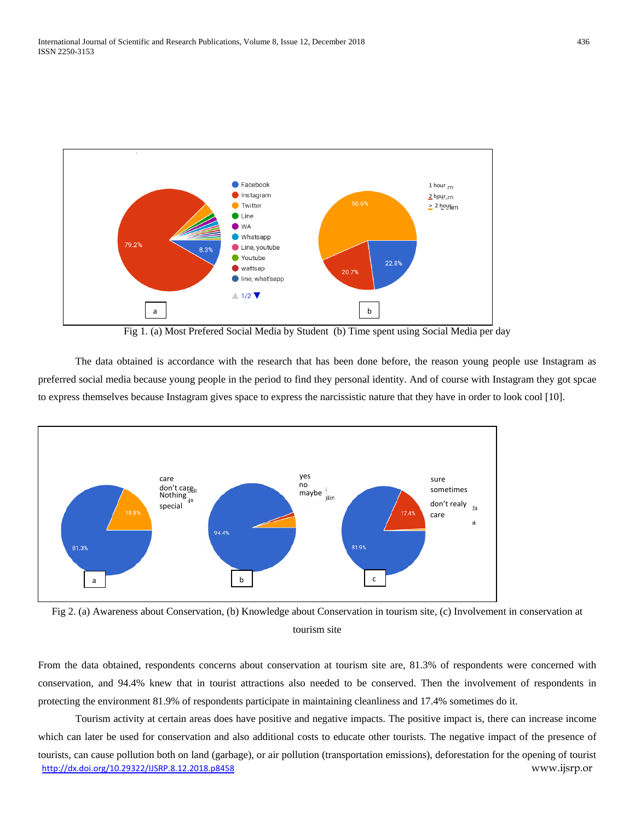

Fig 1. (a) Most Prefered Social Media by Student (b) Time spent using Social Media per day

The data obtained is accordance with the research that has been done before, the reason young people use Instagram as preferred social media because young people in the period to find they personal identity. And of course with Instagram they got spcae to express themselves because Instagram gives space to express the narcissistic nature that they have in order to look cool [10].



Fig 2. (a) Awareness about Conservation, (b) Knowledge about Conservation in tourism site, (c) Involvement in conservation at tourism site

From the data obtained, respondents concerns about conservation at tourism site are, 81.3% of respondents were concerned with conservation, and 94.4% knew that in tourist attractions also needed to be conserved. Then the involvement of respondents in protecting the environment 81.9% of respondents participate in maintaining cleanliness and 17.4% sometimes do it.

<http://dx.doi.org/10.29322/IJSRP.8.12.2018.p8458> www.ijsrp.or Tourism activity at certain areas does have positive and negative impacts. The positive impact is, there can increase income which can later be used for conservation and also additional costs to educate other tourists. The negative impact of the presence of tourists, can cause pollution both on land (garbage), or air pollution (transportation emissions), deforestation for the opening of tourist